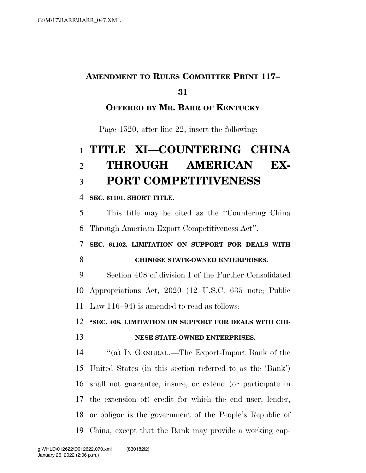### **AMENDMENT TO RULES COMMITTEE PRINT 117–**

#### 

#### **OFFERED BY MR. BARR OF KENTUCKY**

Page 1520, after line 22, insert the following:

# **TITLE XI—COUNTERING CHINA THROUGH AMERICAN EX-PORT COMPETITIVENESS**

#### **SEC. 61101. SHORT TITLE.**

 This title may be cited as the ''Countering China Through American Export Competitiveness Act''.

### **SEC. 61102. LIMITATION ON SUPPORT FOR DEALS WITH CHINESE STATE-OWNED ENTERPRISES.**

 Section 408 of division I of the Further Consolidated Appropriations Act, 2020 (12 U.S.C. 635 note; Public Law 116–94) is amended to read as follows:

## **''SEC. 408. LIMITATION ON SUPPORT FOR DEALS WITH CHI-**

#### **NESE STATE-OWNED ENTERPRISES.**

 ''(a) IN GENERAL.—The Export-Import Bank of the United States (in this section referred to as the 'Bank') shall not guarantee, insure, or extend (or participate in the extension of) credit for which the end user, lender, or obligor is the government of the People's Republic of China, except that the Bank may provide a working cap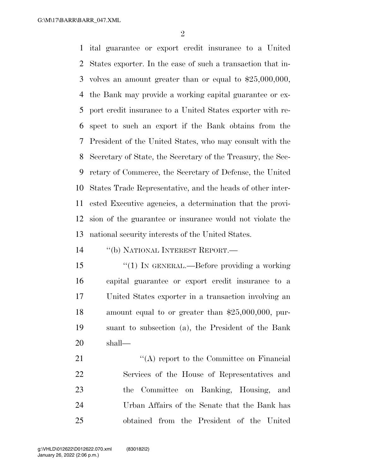$\mathfrak{D}$ 

 ital guarantee or export credit insurance to a United States exporter. In the case of such a transaction that in- volves an amount greater than or equal to \$25,000,000, the Bank may provide a working capital guarantee or ex- port credit insurance to a United States exporter with re- spect to such an export if the Bank obtains from the President of the United States, who may consult with the Secretary of State, the Secretary of the Treasury, the Sec- retary of Commerce, the Secretary of Defense, the United States Trade Representative, and the heads of other inter- ested Executive agencies, a determination that the provi- sion of the guarantee or insurance would not violate the national security interests of the United States.

''(b) NATIONAL INTEREST REPORT.—

15 "(1) IN GENERAL.—Before providing a working capital guarantee or export credit insurance to a United States exporter in a transaction involving an amount equal to or greater than \$25,000,000, pur- suant to subsection (a), the President of the Bank shall—

21 ''(A) report to the Committee on Financial Services of the House of Representatives and the Committee on Banking, Housing, and Urban Affairs of the Senate that the Bank has obtained from the President of the United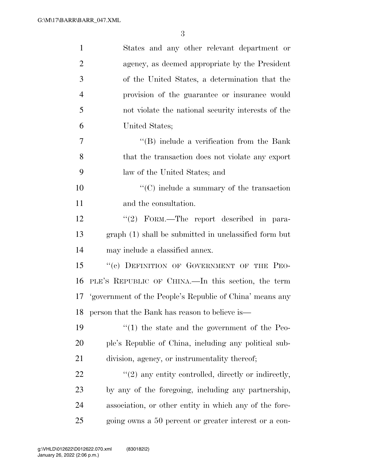| $\mathbf{1}$   | States and any other relevant department or                 |
|----------------|-------------------------------------------------------------|
| $\overline{2}$ | agency, as deemed appropriate by the President              |
| 3              | of the United States, a determination that the              |
| $\overline{4}$ | provision of the guarantee or insurance would               |
| 5              | not violate the national security interests of the          |
| 6              | United States;                                              |
| 7              | "(B) include a verification from the Bank                   |
| 8              | that the transaction does not violate any export            |
| 9              | law of the United States; and                               |
| 10             | $\lq\lq$ include a summary of the transaction               |
| 11             | and the consultation.                                       |
| 12             | "(2) FORM.—The report described in para-                    |
| 13             | graph (1) shall be submitted in unclassified form but       |
| 14             | may include a classified annex.                             |
| 15             | "(c) DEFINITION OF GOVERNMENT OF THE PEO-                   |
| 16             | PLE'S REPUBLIC OF CHINA.—In this section, the term          |
|                | 17 'government of the People's Republic of China' means any |
|                | 18 person that the Bank has reason to believe is-           |
| 19             | $\lq(1)$ the state and the government of the Peo-           |
| <b>20</b>      | ple's Republic of China, including any political sub-       |
| 21             | division, agency, or instrumentality thereof;               |
| <u>22</u>      | $"(2)$ any entity controlled, directly or indirectly,       |
| 23             | by any of the foregoing, including any partnership,         |
| 24             | association, or other entity in which any of the fore-      |
| 25             | going owns a 50 percent or greater interest or a con-       |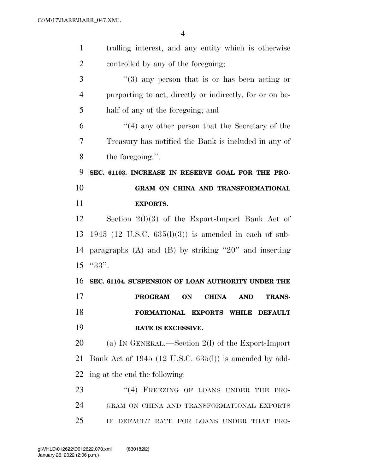| $\mathbf{1}$   | trolling interest, and any entity which is otherwise                       |
|----------------|----------------------------------------------------------------------------|
| $\overline{2}$ | controlled by any of the foregoing;                                        |
| 3              | $\cdot\cdot$ (3) any person that is or has been acting or                  |
| $\overline{4}$ | purporting to act, directly or indirectly, for or on be-                   |
| 5              | half of any of the foregoing; and                                          |
| 6              | $\cdot$ (4) any other person that the Secretary of the                     |
| 7              | Treasury has notified the Bank is included in any of                       |
| 8              | the foregoing.".                                                           |
| 9              | SEC. 61103. INCREASE IN RESERVE GOAL FOR THE PRO-                          |
| 10             | GRAM ON CHINA AND TRANSFORMATIONAL                                         |
| 11             | <b>EXPORTS.</b>                                                            |
| 12             | Section $2(1)(3)$ of the Export-Import Bank Act of                         |
| 13             | 1945 (12 U.S.C. $635(l)(3)$ ) is amended in each of sub-                   |
| 14             | paragraphs $(A)$ and $(B)$ by striking "20" and inserting                  |
| 15             | $"33"$ .                                                                   |
| 16             | SEC. 61104. SUSPENSION OF LOAN AUTHORITY UNDER THE                         |
| 17             | <b>PROGRAM</b><br><b>ON</b><br><b>CHINA</b><br><b>AND</b><br><b>TRANS-</b> |
| 18             | FORMATIONAL EXPORTS WHILE DEFAULT                                          |
| 19             | RATE IS EXCESSIVE.                                                         |
| 20             | (a) IN GENERAL.—Section $2(l)$ of the Export-Import                        |
| 21             | Bank Act of 1945 (12 U.S.C. 635(l)) is amended by add-                     |
| 22             | ing at the end the following:                                              |
| 23             | "(4) FREEZING OF LOANS UNDER THE PRO-                                      |
| 24             | GRAM ON CHINA AND TRANSFORMATIONAL EXPORTS                                 |
| 25             | IF DEFAULT RATE FOR LOANS UNDER THAT PRO-                                  |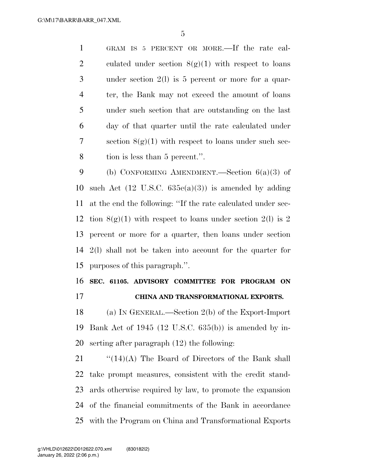GRAM IS 5 PERCENT OR MORE.—If the rate cal-2 culated under section  $8(g)(1)$  with respect to loans under section 2(l) is 5 percent or more for a quar- ter, the Bank may not exceed the amount of loans under such section that are outstanding on the last day of that quarter until the rate calculated under 7 section  $8(g)(1)$  with respect to loans under such sec-tion is less than 5 percent.''.

 (b) CONFORMING AMENDMENT.—Section 6(a)(3) of 10 such Act  $(12 \text{ U.S.C. } 635e(a)(3))$  is amended by adding at the end the following: ''If the rate calculated under sec-12 tion  $8(g)(1)$  with respect to loans under section 2(1) is 2 percent or more for a quarter, then loans under section 2(l) shall not be taken into account for the quarter for purposes of this paragraph.''.

 **SEC. 61105. ADVISORY COMMITTEE FOR PROGRAM ON CHINA AND TRANSFORMATIONAL EXPORTS.** 

 (a) IN GENERAL.—Section 2(b) of the Export-Import Bank Act of 1945 (12 U.S.C. 635(b)) is amended by in-serting after paragraph (12) the following:

 $\frac{1}{2}$  (14)(A) The Board of Directors of the Bank shall take prompt measures, consistent with the credit stand- ards otherwise required by law, to promote the expansion of the financial commitments of the Bank in accordance with the Program on China and Transformational Exports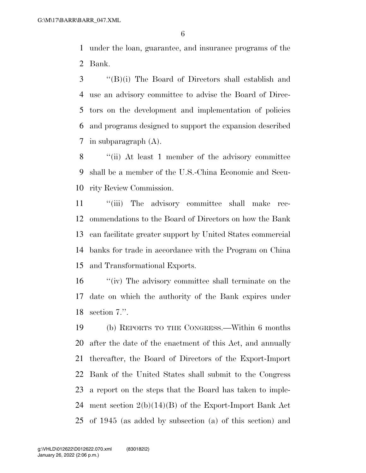under the loan, guarantee, and insurance programs of the Bank.

 ''(B)(i) The Board of Directors shall establish and use an advisory committee to advise the Board of Direc- tors on the development and implementation of policies and programs designed to support the expansion described in subparagraph (A).

 ''(ii) At least 1 member of the advisory committee shall be a member of the U.S.-China Economic and Secu-rity Review Commission.

11 "(iii) The advisory committee shall make rec- ommendations to the Board of Directors on how the Bank can facilitate greater support by United States commercial banks for trade in accordance with the Program on China and Transformational Exports.

 ''(iv) The advisory committee shall terminate on the date on which the authority of the Bank expires under section 7.''.

 (b) REPORTS TO THE CONGRESS.—Within 6 months after the date of the enactment of this Act, and annually thereafter, the Board of Directors of the Export-Import Bank of the United States shall submit to the Congress a report on the steps that the Board has taken to imple- ment section 2(b)(14)(B) of the Export-Import Bank Act of 1945 (as added by subsection (a) of this section) and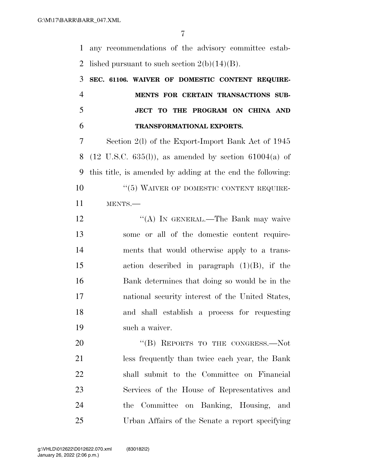any recommendations of the advisory committee estab-2 lished pursuant to such section  $2(b)(14)(B)$ .

 **SEC. 61106. WAIVER OF DOMESTIC CONTENT REQUIRE- MENTS FOR CERTAIN TRANSACTIONS SUB- JECT TO THE PROGRAM ON CHINA AND TRANSFORMATIONAL EXPORTS.** 

 Section 2(l) of the Export-Import Bank Act of 1945 8 (12 U.S.C.  $635(l)$ ), as amended by section  $61004(a)$  of this title, is amended by adding at the end the following: 10 "(5) WAIVER OF DOMESTIC CONTENT REQUIRE-MENTS.—

12 ""(A) IN GENERAL.—The Bank may waive some or all of the domestic content require- ments that would otherwise apply to a trans- action described in paragraph (1)(B), if the Bank determines that doing so would be in the national security interest of the United States, and shall establish a process for requesting such a waiver.

20 "(B) REPORTS TO THE CONGRESS.—Not less frequently than twice each year, the Bank shall submit to the Committee on Financial Services of the House of Representatives and the Committee on Banking, Housing, and Urban Affairs of the Senate a report specifying